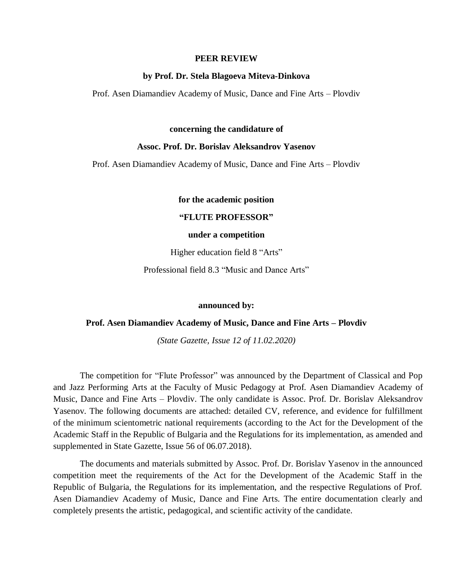### **PEER REVIEW**

### **by Prof. Dr. Stela Blagoeva Miteva-Dinkova**

Prof. Asen Diamandiev Academy of Music, Dance and Fine Arts – Plovdiv

### **concerning the candidature of**

## **Assoc. Prof. Dr. Borislav Aleksandrov Yasenov**

Prof. Asen Diamandiev Academy of Music, Dance and Fine Arts – Plovdiv

**for the academic position**

**"FLUTE PROFESSOR"**

#### **under a competition**

Higher education field 8 "Arts"

Professional field 8.3 "Music and Dance Arts"

## **announced by:**

### **Prof. Asen Diamandiev Academy of Music, Dance and Fine Arts – Plovdiv**

*(State Gazette, Issue 12 of 11.02.2020)*

The competition for "Flute Professor" was announced by the Department of Classical and Pop and Jazz Performing Arts at the Faculty of Music Pedagogy at Prof. Asen Diamandiev Academy of Music, Dance and Fine Arts – Plovdiv. The only candidate is Assoc. Prof. Dr. Borislav Aleksandrov Yasenov. The following documents are attached: detailed CV, reference, and evidence for fulfillment of the minimum scientometric national requirements (according to the Act for the Development of the Academic Staff in the Republic of Bulgaria and the Regulations for its implementation, as amended and supplemented in State Gazette, Issue 56 of 06.07.2018).

The documents and materials submitted by Assoc. Prof. Dr. Borislav Yasenov in the announced competition meet the requirements of the Act for the Development of the Academic Staff in the Republic of Bulgaria, the Regulations for its implementation, and the respective Regulations of Prof. Asen Diamandiev Academy of Music, Dance and Fine Arts. The entire documentation clearly and completely presents the artistic, pedagogical, and scientific activity of the candidate.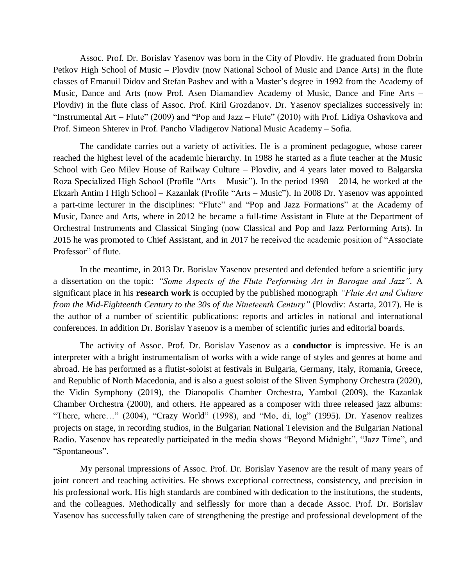Assoc. Prof. Dr. Borislav Yasenov was born in the City of Plovdiv. He graduated from Dobrin Petkov High School of Music – Plovdiv (now National School of Music and Dance Arts) in the flute classes of Emanuil Didov and Stefan Pashev and with a Master's degree in 1992 from the Academy of Music, Dance and Arts (now Prof. Asen Diamandiev Academy of Music, Dance and Fine Arts – Plovdiv) in the flute class of Assoc. Prof. Kiril Grozdanov. Dr. Yasenov specializes successively in: "Instrumental Art – Flute" (2009) and "Pop and Jazz – Flute" (2010) with Prof. Lidiya Oshavkova and Prof. Simeon Shterev in Prof. Pancho Vladigerov National Music Academy – Sofia.

The candidate carries out a variety of activities. He is a prominent pedagogue, whose career reached the highest level of the academic hierarchy. In 1988 he started as a flute teacher at the Music School with Geo Milev House of Railway Culture – Plovdiv, and 4 years later moved to Balgarska Roza Specialized High School (Profile "Arts – Music"). In the period 1998 – 2014, he worked at the Ekzarh Antim I High School – Kazanlak (Profile "Arts – Music"). In 2008 Dr. Yasenov was appointed a part-time lecturer in the disciplines: "Flute" and "Pop and Jazz Formations" at the Academy of Music, Dance and Arts, where in 2012 he became a full-time Assistant in Flute at the Department of Orchestral Instruments and Classical Singing (now Classical and Pop and Jazz Performing Arts). In 2015 he was promoted to Chief Assistant, and in 2017 he received the academic position of "Associate Professor" of flute.

In the meantime, in 2013 Dr. Borislav Yasenov presented and defended before a scientific jury a dissertation on the topic: *"Some Aspects of the Flute Performing Art in Baroque and Jazz".* A significant place in his **research work** is occupied by the published monograph *"Flute Art and Culture from the Mid-Eighteenth Century to the 30s of the Nineteenth Century"* (Plovdiv: Astarta, 2017). He is the author of a number of scientific publications: reports and articles in national and international conferences. In addition Dr. Borislav Yasenov is a member of scientific juries and editorial boards.

The activity of Assoc. Prof. Dr. Borislav Yasenov as a **conductor** is impressive. He is an interpreter with a bright instrumentalism of works with a wide range of styles and genres at home and abroad. He has performed as a flutist-soloist at festivals in Bulgaria, Germany, Italy, Romania, Greece, and Republic of North Macedonia, and is also a guest soloist of the Sliven Symphony Orchestra (2020), the Vidin Symphony (2019), the Dianopolis Chamber Orchestra, Yambol (2009), the Kazanlak Chamber Orchestra (2000), and others. He appeared as a composer with three released jazz albums: "There, where…" (2004), "Crazy World" (1998), and "Mo, di, log" (1995). Dr. Yasenov realizes projects on stage, in recording studios, in the Bulgarian National Television and the Bulgarian National Radio. Yasenov has repeatedly participated in the media shows "Beyond Midnight", "Jazz Time", and "Spontaneous".

My personal impressions of Assoc. Prof. Dr. Borislav Yasenov are the result of many years of joint concert and teaching activities. He shows exceptional correctness, consistency, and precision in his professional work. His high standards are combined with dedication to the institutions, the students, and the colleagues. Methodically and selflessly for more than a decade Assoc. Prof. Dr. Borislav Yasenov has successfully taken care of strengthening the prestige and professional development of the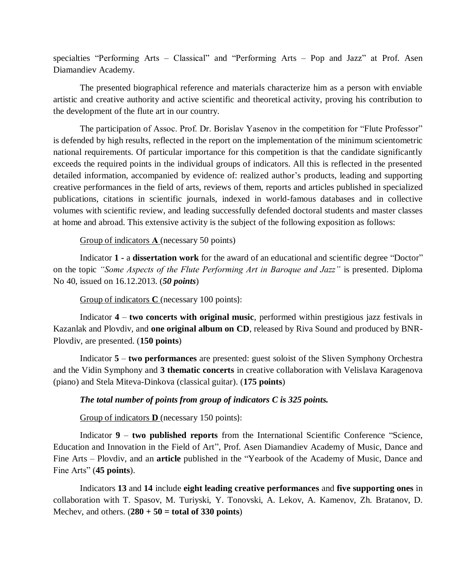specialties "Performing Arts – Classical" and "Performing Arts – Pop and Jazz" at Prof. Asen Diamandiev Academy.

The presented biographical reference and materials characterize him as a person with enviable artistic and creative authority and active scientific and theoretical activity, proving his contribution to the development of the flute art in our country.

The participation of Assoc. Prof. Dr. Borislav Yasenov in the competition for "Flute Professor" is defended by high results, reflected in the report on the implementation of the minimum scientometric national requirements. Of particular importance for this competition is that the candidate significantly exceeds the required points in the individual groups of indicators. All this is reflected in the presented detailed information, accompanied by evidence of: realized author's products, leading and supporting creative performances in the field of arts, reviews of them, reports and articles published in specialized publications, citations in scientific journals, indexed in world-famous databases and in collective volumes with scientific review, and leading successfully defended doctoral students and master classes at home and abroad. This extensive activity is the subject of the following exposition as follows:

# Group of indicators **А** (necessary 50 points)

Indicator **1 -** a **dissertation work** for the award of an educational and scientific degree "Doctor" on the topic *"Some Aspects of the Flute Performing Art in Baroque and Jazz"* is presented. Diploma No 40, issued on 16.12.2013. (*50 points*)

Group of indicators **C** (necessary 100 points):

Indicator **4** – **two concerts with original music**, performed within prestigious jazz festivals in Kazanlak and Plovdiv, and **one original album on CD**, released by Riva Sound and produced by BNR-Plovdiv, are presented. (**150 points**)

Indicator **5** – **two performances** are presented: guest soloist of the Sliven Symphony Orchestra and the Vidin Symphony and **3 thematic concerts** in creative collaboration with Velislava Karagenova (piano) and Stela Miteva-Dinkova (classical guitar). (**175 points**)

# *The total number of points from group of indicators C is 325 points.*

Group of indicators **D** (necessary 150 points):

Indicator **9** – **two published reports** from the International Scientific Conference "Science, Education and Innovation in the Field of Art", Prof. Asen Diamandiev Academy of Music, Dance and Fine Arts – Plovdiv, and an **article** published in the "Yearbook of the Academy of Music, Dance and Fine Arts" (**45 points**).

Indicators **13** and **14** include **eight leading creative performances** and **five supporting ones** in collaboration with T. Spasov, M. Turiyski, Y. Tonovski, A. Lekov, A. Kamenov, Zh. Bratanov, D. Mechev, and others.  $(280 + 50 = \text{total of } 330 \text{ points})$